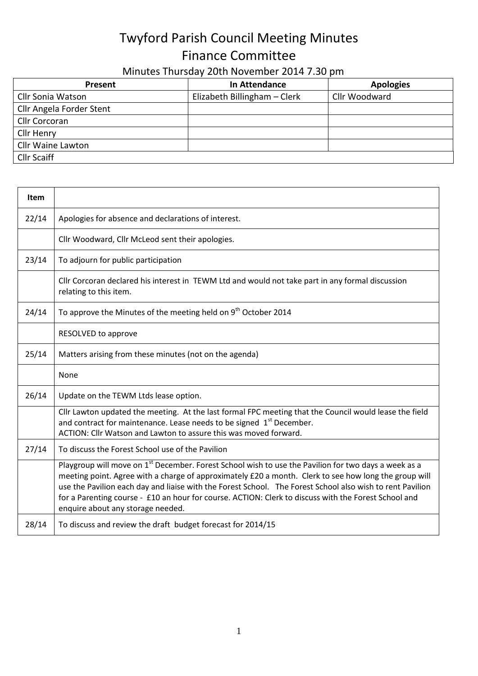## Twyford Parish Council Meeting Minutes Finance Committee

## Minutes Thursday 20th November 2014 7.30 pm

| <b>Present</b>           | In Attendance                | <b>Apologies</b> |
|--------------------------|------------------------------|------------------|
| Cllr Sonia Watson        | Elizabeth Billingham - Clerk | Cllr Woodward    |
| Cllr Angela Forder Stent |                              |                  |
| Cllr Corcoran            |                              |                  |
| Cllr Henry               |                              |                  |
| Cllr Waine Lawton        |                              |                  |
| <b>Cllr Scaiff</b>       |                              |                  |

| <b>Item</b> |                                                                                                                                                                                                                                                                                                                                                                                                                                                                                     |
|-------------|-------------------------------------------------------------------------------------------------------------------------------------------------------------------------------------------------------------------------------------------------------------------------------------------------------------------------------------------------------------------------------------------------------------------------------------------------------------------------------------|
| 22/14       | Apologies for absence and declarations of interest.                                                                                                                                                                                                                                                                                                                                                                                                                                 |
|             | Cllr Woodward, Cllr McLeod sent their apologies.                                                                                                                                                                                                                                                                                                                                                                                                                                    |
| 23/14       | To adjourn for public participation                                                                                                                                                                                                                                                                                                                                                                                                                                                 |
|             | Cllr Corcoran declared his interest in TEWM Ltd and would not take part in any formal discussion<br>relating to this item.                                                                                                                                                                                                                                                                                                                                                          |
| 24/14       | To approve the Minutes of the meeting held on 9 <sup>th</sup> October 2014                                                                                                                                                                                                                                                                                                                                                                                                          |
|             | RESOLVED to approve                                                                                                                                                                                                                                                                                                                                                                                                                                                                 |
| 25/14       | Matters arising from these minutes (not on the agenda)                                                                                                                                                                                                                                                                                                                                                                                                                              |
|             | None                                                                                                                                                                                                                                                                                                                                                                                                                                                                                |
| 26/14       | Update on the TEWM Ltds lease option.                                                                                                                                                                                                                                                                                                                                                                                                                                               |
|             | Cllr Lawton updated the meeting. At the last formal FPC meeting that the Council would lease the field<br>and contract for maintenance. Lease needs to be signed 1 <sup>st</sup> December.<br>ACTION: Cllr Watson and Lawton to assure this was moved forward.                                                                                                                                                                                                                      |
| 27/14       | To discuss the Forest School use of the Pavilion                                                                                                                                                                                                                                                                                                                                                                                                                                    |
|             | Playgroup will move on 1 <sup>st</sup> December. Forest School wish to use the Pavilion for two days a week as a<br>meeting point. Agree with a charge of approximately £20 a month. Clerk to see how long the group will<br>use the Pavilion each day and liaise with the Forest School. The Forest School also wish to rent Pavilion<br>for a Parenting course - £10 an hour for course. ACTION: Clerk to discuss with the Forest School and<br>enquire about any storage needed. |
| 28/14       | To discuss and review the draft budget forecast for 2014/15                                                                                                                                                                                                                                                                                                                                                                                                                         |